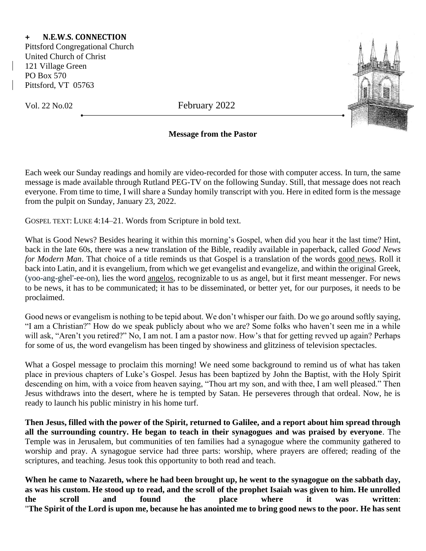## **+ N.E.W.S. CONNECTION**

Pittsford Congregational Church United Church of Christ 121 Village Green PO Box 570 Pittsford, VT 05763

Vol. 22 No.02 February 2022



## **Message from the Pastor**

Each week our Sunday readings and homily are video-recorded for those with computer access. In turn, the same message is made available through Rutland PEG-TV on the following Sunday. Still, that message does not reach everyone. From time to time, I will share a Sunday homily transcript with you. Here in edited form is the message from the pulpit on Sunday, January 23, 2022.

GOSPEL TEXT: LUKE 4:14–21. Words from Scripture in bold text.

What is Good News? Besides hearing it within this morning's Gospel, when did you hear it the last time? Hint, back in the late 60s, there was a new translation of the Bible, readily available in paperback, called *Good News for Modern Man*. That choice of a title reminds us that Gospel is a translation of the words good news. Roll it back into Latin, and it is evangelium, from which we get evangelist and evangelize, and within the original Greek, (yoo-ang-ghel'-ee-on), lies the word angelos, recognizable to us as angel, but it first meant messenger. For news to be news, it has to be communicated; it has to be disseminated, or better yet, for our purposes, it needs to be proclaimed.

Good news or evangelism is nothing to be tepid about. We don't whisper our faith. Do we go around softly saying, "I am a Christian?" How do we speak publicly about who we are? Some folks who haven't seen me in a while will ask, "Aren't you retired?" No, I am not. I am a pastor now. How's that for getting revved up again? Perhaps for some of us, the word evangelism has been tinged by showiness and glitziness of television spectacles.

What a Gospel message to proclaim this morning! We need some background to remind us of what has taken place in previous chapters of Luke's Gospel. Jesus has been baptized by John the Baptist, with the Holy Spirit descending on him, with a voice from heaven saying, "Thou art my son, and with thee, I am well pleased." Then Jesus withdraws into the desert, where he is tempted by Satan. He perseveres through that ordeal. Now, he is ready to launch his public ministry in his home turf.

**Then Jesus, filled with the power of the Spirit, returned to Galilee, and a report about him spread through all the surrounding country. He began to teach in their synagogues and was praised by everyone**. The Temple was in Jerusalem, but communities of ten families had a synagogue where the community gathered to worship and pray. A synagogue service had three parts: worship, where prayers are offered; reading of the scriptures, and teaching. Jesus took this opportunity to both read and teach.

**When he came to Nazareth, where he had been brought up, he went to the synagogue on the sabbath day, as was his custom. He stood up to read, and the scroll of the prophet Isaiah was given to him. He unrolled the scroll and found the place where it was written**: "**The Spirit of the Lord is upon me, because he has anointed me to bring good news to the poor. He has sent**